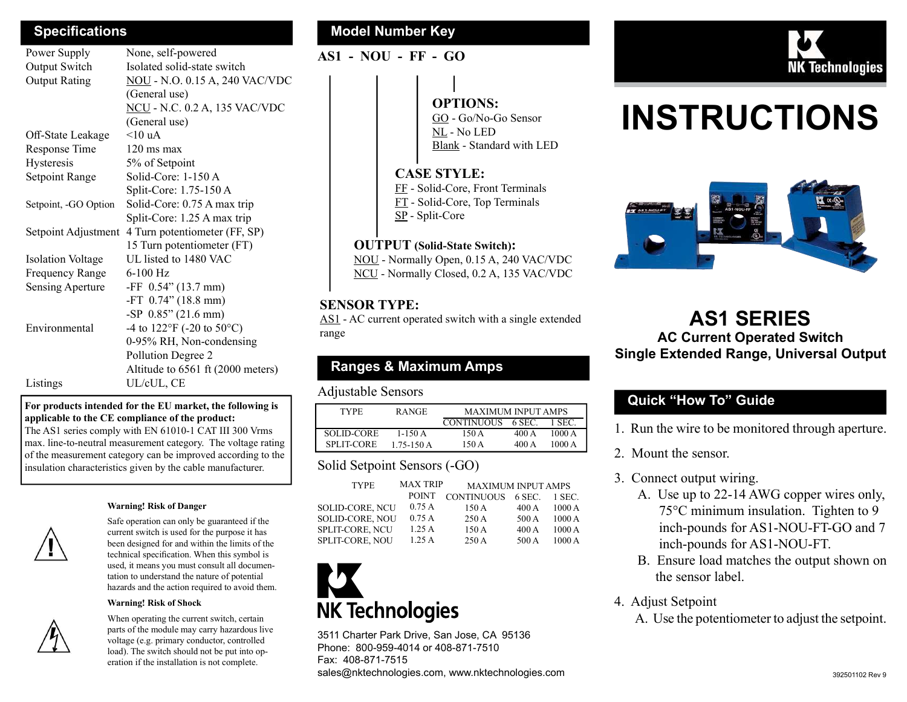| Power Supply             | None, self-powered                            |
|--------------------------|-----------------------------------------------|
| Output Switch            | Isolated solid-state switch                   |
| <b>Output Rating</b>     | <b>NOU</b> - N.O. 0.15 A, 240 VAC/VDC         |
|                          | (General use)                                 |
|                          | <b>NCU</b> - N.C. 0.2 A, 135 VAC/VDC          |
|                          | (General use)                                 |
| Off-State Leakage        | $<10$ uA                                      |
| Response Time            | $120 \text{ ms} \text{ max}$                  |
| Hysteresis               | 5% of Setpoint                                |
| Setpoint Range           | Solid-Core: 1-150 A                           |
|                          | Split-Core: 1.75-150 A                        |
| Setpoint, -GO Option     | Solid-Core: 0.75 A max trip                   |
|                          | Split-Core: 1.25 A max trip                   |
| Setpoint Adjustment      | 4 Turn potentiometer (FF, SP)                 |
|                          | 15 Turn potentiometer (FT)                    |
| <b>Isolation Voltage</b> | UL listed to 1480 VAC                         |
| Frequency Range          | $6-100$ Hz                                    |
| Sensing Aperture         | $-FF$ 0.54" (13.7 mm)                         |
|                          | -FT $0.74$ " (18.8 mm)                        |
|                          | -SP $0.85$ " (21.6 mm)                        |
| Environmental            | -4 to $122^{\circ}$ F (-20 to $50^{\circ}$ C) |
|                          | 0-95% RH, Non-condensing                      |
|                          | Pollution Degree 2                            |
|                          | Altitude to 6561 ft (2000 meters)             |
| Listings                 | UL/cUL, CE                                    |

#### For products intended for the EU market, the following is applicable to the CE compliance of the product:

The AS1 series comply with EN 61010-1 CAT III 300 Vrms max. line-to-neutral measurement category. The voltage rating of the measurement category can be improved according to the insulation characteristics given by the cable manufacturer.

#### Warning! Risk of Danger



Safe operation can only be guaranteed if the current switch is used for the purpose it has been designed for and within the limits of the technical specification. When this symbol is used, it means you must consult all documentation to understand the nature of potential hazards and the action required to avoid them.

#### Warning! Risk of Shock



When operating the current switch, certain parts of the module may carry hazardous live voltage (e.g. primary conductor, controlled load). The switch should not be put into operation if the installation is not complete.

#### Specifications **Model Number Key** Model Number Key

AS1 - NOU - FF - GO

### OPTIONS:

GO - Go/No-Go Sensor NL - No LED Blank - Standard with LED

#### CASE STYLE:

FF - Solid-Core, Front Terminals FT - Solid-Core, Top Terminals SP - Split-Core

#### OUTPUT (Solid-State Switch):

NOU - Normally Open, 0.15 A, 240 VAC/VDC NCU - Normally Closed, 0.2 A, 135 VAC/VDC

#### SENSOR TYPE:

AS1 - AC current operated switch with a single extended range

#### Ranges & Maximum Amps

#### Adjustable Sensors

| <b>TYPE</b>       | <b>RANGE</b>   | <b>MAXIMUM INPUT AMPS</b> |        |        |
|-------------------|----------------|---------------------------|--------|--------|
|                   |                | CONTINUOUS                | 6 SEC. | 1 SEC. |
| <b>SOLID-CORE</b> | $1-150A$       | 150 A                     | 400 A  | 1000A  |
| <b>SPLIT-CORE</b> | $1.75 - 150$ A | 150 A                     | 400 A  | 1000A  |

#### Solid Setpoint Sensors (-GO)

| <b>MAX TRIP</b><br><b>TYPE</b> |              | <b>MAXIMUM INPUT AMPS</b> |        |        |
|--------------------------------|--------------|---------------------------|--------|--------|
|                                | <b>POINT</b> | <b>CONTINUOUS</b>         | 6 SEC. | 1 SEC. |
| <b>SOLID-CORE, NCU</b>         | 0.75A        | 150A                      | 400A   | 1000A  |
| <b>SOLID-CORE, NOU</b>         | 0.75A        | 250A                      | 500 A  | 1000A  |
| <b>SPLIT-CORE, NCU</b>         | 1.25A        | 150A                      | 400A   | 1000A  |
| <b>SPLIT-CORE, NOU</b>         | 1.25A        | 250A                      | 500 A  | 1000A  |

# **NK Technologies**

3511 Charter Park Drive, San Jose, CA 95136 Phone: 800-959-4014 or 408-871-7510 Fax: 408-871-7515 sales@nktechnologies.com, www.nktechnologies.com



## INSTRUCTIONS



#### AS1 SERIES AC Current Operated Switch Single Extended Range, Universal Output

#### Quick "How To" Guide

1. Run the wire to be monitored through aperture.

- 2. Mount the sensor.
- 3. Connect output wiring.
	- A. Use up to 22-14 AWG copper wires only, 75°C minimum insulation. Tighten to 9 inch-pounds for AS1-NOU-FT-GO and 7 inch-pounds for AS1-NOU-FT.
	- B. Ensure load matches the output shown on the sensor label.
- 4. Adjust Setpoint
	- A. Use the potentiometer to adjust the setpoint.